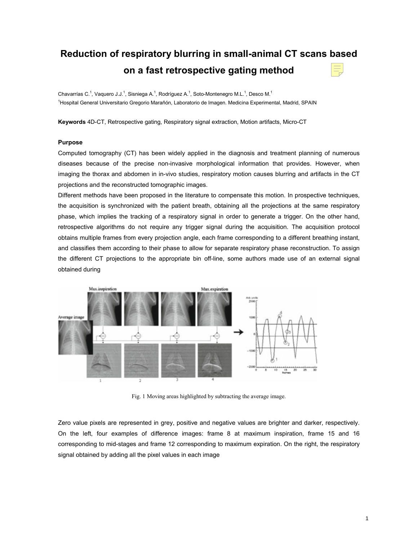# **Reduction of respiratory blurring in small-animal CT scans based on a fast retrospective gating method**

Chavarrías C.<sup>1</sup>, Vaquero J.J.<sup>1</sup>, Sisniega A.<sup>1</sup>, Rodríguez A.<sup>1</sup>, Soto-Montenegro M.L.<sup>1</sup>, Desco M.<sup>1</sup> <sup>1</sup>Hospital General Universitario Gregorio Marañón, Laboratorio de Imagen. Medicina Experimental, Madrid, SPAIN

**Keywords** 4D-CT, Retrospective gating, Respiratory signal extraction, Motion artifacts, Micro-CT

## **Purpose**

Computed tomography (CT) has been widely applied in the diagnosis and treatment planning of numerous diseases because of the precise non-invasive morphological information that provides. However, when imaging the thorax and abdomen in in-vivo studies, respiratory motion causes blurring and artifacts in the CT projections and the reconstructed tomographic images.

Different methods have been proposed in the literature to compensate this motion. In prospective techniques, the acquisition is synchronized with the patient breath, obtaining all the projections at the same respiratory phase, which implies the tracking of a respiratory signal in order to generate a trigger. On the other hand, retrospective algorithms do not require any trigger signal during the acquisition. The acquisition protocol obtains multiple frames from every projection angle, each frame corresponding to a different breathing instant, and classifies them according to their phase to allow for separate respiratory phase reconstruction. To assign the different CT projections to the appropriate bin off-line, some authors made use of an external signal obtained during



Fig. 1 Moving areas highlighted by subtracting the average image.

Zero value pixels are represented in grey, positive and negative values are brighter and darker, respectively. On the left, four examples of difference images: frame 8 at maximum inspiration, frame 15 and 16 corresponding to mid-stages and frame 12 corresponding to maximum expiration. On the right, the respiratory signal obtained by adding all the pixel values in each image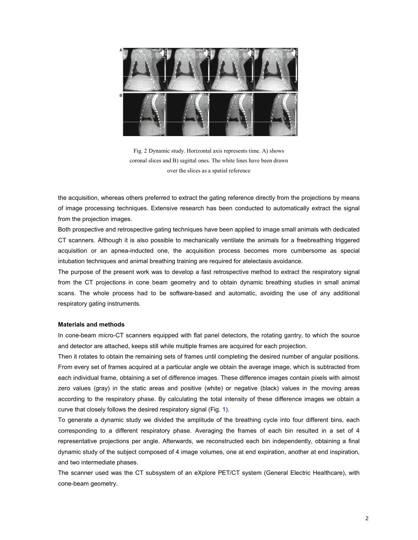

Fig. 2 Dynamic study. Horizontal axis represents time. A) shows coronal slices and B) sagittal ones. The white lines have been drawn over the slices as a spatial reference

the acquisition, whereas others preferred to extract the gating reference directly from the projections by means of image processing techniques. Extensive research has been conducted to automatically extract the signal from the projection images.

Both prospective and retrospective gating techniques have been applied to image small animals with dedicated CT scanners. Although it is also possible to mechanically ventilate the animals for a freebreathing triggered acquisition or an apnea-inducted one, the acquisition process becomes more cumbersome as special intubation techniques and animal breathing training are required for atelectasis avoidance.

The purpose of the present work was to develop a fast retrospective method to extract the respiratory signal from the CT projections in cone beam geometry and to obtain dynamic breathing studies in small animal scans. The whole process had to be software-based and automatic, avoiding the use of any additional respiratory gating instruments.

### **Materials and methods**

In cone-beam micro-CT scanners equipped with flat panel detectors, the rotating gantry, to which the source and detector are attached, keeps still while multiple frames are acquired for each projection.

Then it rotates to obtain the remaining sets of frames until completing the desired number of angular positions. From every set of frames acquired at a particular angle we obtain the average image, which is subtracted from each individual frame, obtaining a set of difference images. These difference images contain pixels with almost zero values (gray) in the static areas and positive (white) or negative (black) values in the moving areas according to the respiratory phase. By calculating the total intensity of these difference images we obtain a curve that closely follows the desired respiratory signal (Fig. 1).

To generate a dynamic study we divided the amplitude of the breathing cycle into four different bins, each corresponding to a different respiratory phase. Averaging the frames of each bin resulted in a set of 4 representative projections per angle. Afterwards, we reconstructed each bin independently, obtaining a final dynamic study of the subject composed of 4 image volumes, one at end expiration, another at end inspiration, and two intermediate phases.

The scanner used was the CT subsystem of an eXplore PET/CT system (General Electric Healthcare), with cone-beam geometry.